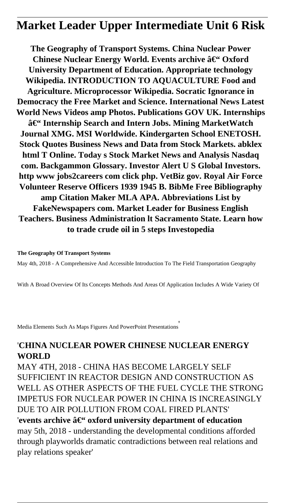# **Market Leader Upper Intermediate Unit 6 Risk**

**The Geography of Transport Systems. China Nuclear Power** Chinese Nuclear Energy World. Events archive – Oxford **University Department of Education. Appropriate technology Wikipedia. INTRODUCTION TO AQUACULTURE Food and Agriculture. Microprocessor Wikipedia. Socratic Ignorance in Democracy the Free Market and Science. International News Latest World News Videos amp Photos. Publications GOV UK. Internships** – Internship Search and Intern Jobs. Mining MarketWatch **Journal XMG. MSI Worldwide. Kindergarten School ENETOSH. Stock Quotes Business News and Data from Stock Markets. abklex html T Online. Today s Stock Market News and Analysis Nasdaq com. Backgammon Glossary. Investor Alert U S Global Investors. http www jobs2careers com click php. VetBiz gov. Royal Air Force Volunteer Reserve Officers 1939 1945 B. BibMe Free Bibliography amp Citation Maker MLA APA. Abbreviations List by FakeNewspapers com. Market Leader for Business English Teachers. Business Administration lt Sacramento State. Learn how to trade crude oil in 5 steps Investopedia**

### **The Geography Of Transport Systems**

May 4th, 2018 - A Comprehensive And Accessible Introduction To The Field Transportation Geography

With A Broad Overview Of Its Concepts Methods And Areas Of Application Includes A Wide Variety Of

Media Elements Such As Maps Figures And PowerPoint Presentations'

### '**CHINA NUCLEAR POWER CHINESE NUCLEAR ENERGY WORLD**

MAY 4TH, 2018 - CHINA HAS BECOME LARGELY SELF SUFFICIENT IN REACTOR DESIGN AND CONSTRUCTION AS WELL AS OTHER ASPECTS OF THE FUEL CYCLE THE STRONG IMPETUS FOR NUCLEAR POWER IN CHINA IS INCREASINGLY DUE TO AIR POLLUTION FROM COAL FIRED PLANTS' 'events archive  $\hat{a}\in$ " oxford university department of education may 5th, 2018 - understanding the developmental conditions afforded through playworlds dramatic contradictions between real relations and play relations speaker'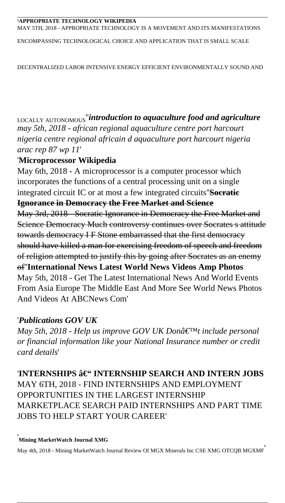#### '**APPROPRIATE TECHNOLOGY WIKIPEDIA** MAY 5TH, 2018 - APPROPRIATE TECHNOLOGY IS A MOVEMENT AND ITS MANIFESTATIONS

ENCOMPASSING TECHNOLOGICAL CHOICE AND APPLICATION THAT IS SMALL SCALE

DECENTRALIZED LABOR INTENSIVE ENERGY EFFICIENT ENVIRONMENTALLY SOUND AND

LOCALLY AUTONOMOUS''*introduction to aquaculture food and agriculture may 5th, 2018 - african regional aquaculture centre port harcourt nigeria centre regional africain d aquaculture port harcourt nigeria arac rep 87 wp 11*'

### '**Microprocessor Wikipedia**

May 6th, 2018 - A microprocessor is a computer processor which incorporates the functions of a central processing unit on a single integrated circuit IC or at most a few integrated circuits''**Socratic Ignorance in Democracy the Free Market and Science** May 3rd, 2018 - Socratic Ignorance in Democracy the Free Market and Science Democracy Much controversy continues over Socrates s attitude towards democracy I F Stone embarrassed that the first democracy should have killed a man for exercising freedom of speech and freedom of religion attempted to justify this by going after Socrates as an enemy of''**International News Latest World News Videos Amp Photos** May 5th, 2018 - Get The Latest International News And World Events From Asia Europe The Middle East And More See World News Photos And Videos At ABCNews Com'

### '*Publications GOV UK*

*May 5th, 2018 - Help us improve GOV UK Don't include personal or financial information like your National Insurance number or credit card details*'

'INTERNSHIPS â€" INTERNSHIP SEARCH AND INTERN JOBS MAY 6TH, 2018 - FIND INTERNSHIPS AND EMPLOYMENT OPPORTUNITIES IN THE LARGEST INTERNSHIP MARKETPLACE SEARCH PAID INTERNSHIPS AND PART TIME JOBS TO HELP START YOUR CAREER'

#### '**Mining MarketWatch Journal XMG**

May 4th, 2018 - Mining MarketWatch Journal Review Of MGX Minerals Inc CSE XMG OTCQB MGXMF'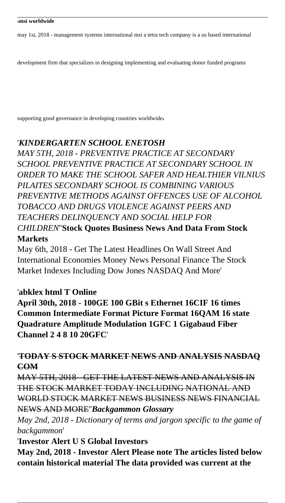#### '**msi worldwide**

may 1st, 2018 - management systems international msi a tetra tech company is a us based international

development firm that specializes in designing implementing and evaluating donor funded programs

supporting good governance in developing countries worldwide'

### '*KINDERGARTEN SCHOOL ENETOSH*

*MAY 5TH, 2018 - PREVENTIVE PRACTICE AT SECONDARY SCHOOL PREVENTIVE PRACTICE AT SECONDARY SCHOOL IN ORDER TO MAKE THE SCHOOL SAFER AND HEALTHIER VILNIUS PILAITES SECONDARY SCHOOL IS COMBINING VARIOUS PREVENTIVE METHODS AGAINST OFFENCES USE OF ALCOHOL TOBACCO AND DRUGS VIOLENCE AGAINST PEERS AND TEACHERS DELINQUENCY AND SOCIAL HELP FOR CHILDREN*''**Stock Quotes Business News And Data From Stock Markets**

May 6th, 2018 - Get The Latest Headlines On Wall Street And International Economies Money News Personal Finance The Stock Market Indexes Including Dow Jones NASDAQ And More'

### '**abklex html T Online**

**April 30th, 2018 - 100GE 100 GBit s Ethernet 16CIF 16 times Common Intermediate Format Picture Format 16QAM 16 state Quadrature Amplitude Modulation 1GFC 1 Gigabaud Fiber Channel 2 4 8 10 20GFC**'

### '**TODAY S STOCK MARKET NEWS AND ANALYSIS NASDAQ COM**

MAY 5TH, 2018 - GET THE LATEST NEWS AND ANALYSIS IN THE STOCK MARKET TODAY INCLUDING NATIONAL AND WORLD STOCK MARKET NEWS BUSINESS NEWS FINANCIAL NEWS AND MORE''*Backgammon Glossary*

*May 2nd, 2018 - Dictionary of terms and jargon specific to the game of backgammon*'

'**Investor Alert U S Global Investors**

**May 2nd, 2018 - Investor Alert Please note The articles listed below contain historical material The data provided was current at the**